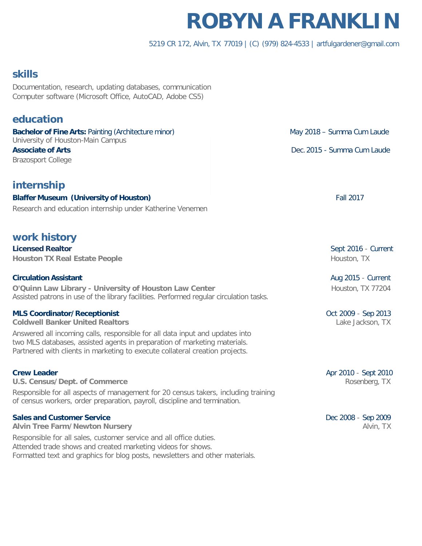# **ROBYN A FRANKLIN**

### 5219 CR 172, Alvin, TX 77019 | (C) (979) 824-4533 | [artfulgardener@gmail.com](mailto:artfulgardener@gmail.com)

# **skills**

Documentation, research, updating databases, communication Computer software (Microsoft Office, AutoCAD, Adobe CS5)

# **education**

**Bachelor of Fine Arts:** Painting (Architecture minor) May 2018 – Summa Cum Laude University of Houston-Main Campus **Associate of Arts Arts Arts Outcome Cum Laude Constanting Cum Laude Constanting Cum Laude Dec.2015 - Summa Cum Laude** Brazosport College

# **internship**

**Blaffer Museum (University of Houston)** Fall 2017 Research and education internship under Katherine Venemen

# **work history**

**Licensed Realtor** Sept 2016 - Current **Houston TX Real Estate People** Houston, TX

### **Circulation Assistant** Aug 2015 - Current

**O'Quinn Law Library - University of Houston Law Center** Houston, TX 77204 Assisted patrons in use of the library facilities. Performed regular circulation tasks.

### **MLS Coordinator/Receptionist** Controlled Controlled Controlled Controlled Controlled Controlled Controlled Controlled Controlled Controlled Controlled Controlled Controlled Controlled Controlled Controlled Controlled Cont

**Coldwell Banker United Realtors** Lake Jackson, TX

Answered all incoming calls, responsible for all data input and updates into two MLS databases, assisted agents in preparation of marketing materials. Partnered with clients in marketing to execute collateral creation projects.

**U.S. Census/Dept. of Commerce** Rosenberg, TX Responsible for all aspects of management for 20 census takers, including training of census workers, order preparation, payroll, discipline and termination.

#### **Sales and Customer Service** Dec 2008 - Sep 2009 - Sep 2009 - Sep 2009 - Sep 2009 - Sep 2009 - Sep 2009 - Sep 2009 - Sep 2009 - Sep 2009 - Sep 2009 - Sep 2009 - Sep 2009 - Sep 2009 - Sep 2009 - Sep 2009 - Sep 2009 - Sep 20

**Alvin Tree Farm/Newton Nursery** Alvin, TX

Responsible for all sales, customer service and all office duties. Attended trade shows and created marketing videos for shows. Formatted text and graphics for blog posts, newsletters and other materials.

**Crew Leader** Apr 2010 - Sept 2010 - Sept 2010 - Sept 2010 - Sept 2010 - Sept 2010 - Sept 2010 - Sept 2010 - Sept 2010 - Sept 2010 - Sept 2010 - Sept 2010 - Sept 2010 - Sept 2010 - Sept 2010 - Sept 2010 - Sept 2010 - Sept